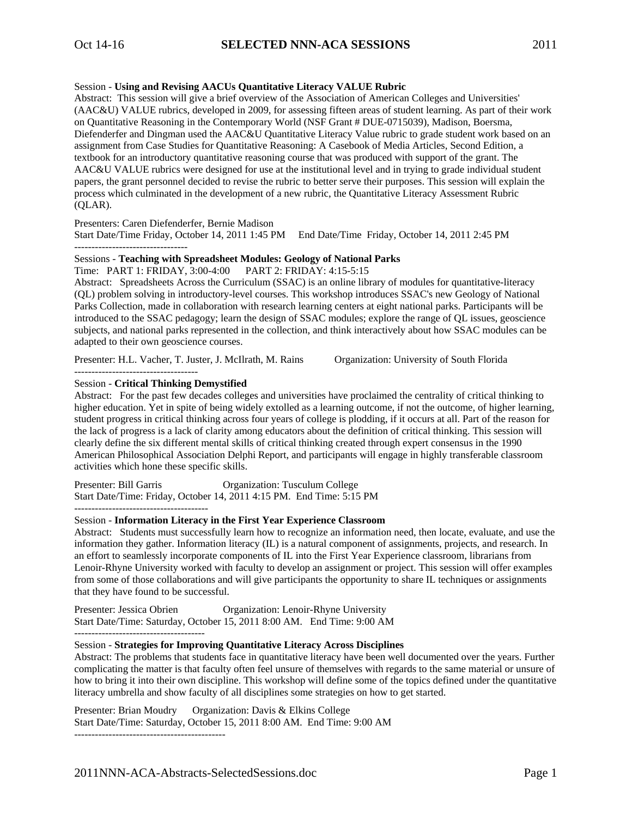## Session - **Using and Revising AACUs Quantitative Literacy VALUE Rubric**

Abstract: This session will give a brief overview of the Association of American Colleges and Universities' (AAC&U) VALUE rubrics, developed in 2009, for assessing fifteen areas of student learning. As part of their work on Quantitative Reasoning in the Contemporary World (NSF Grant # DUE-0715039), Madison, Boersma, Diefenderfer and Dingman used the AAC&U Quantitative Literacy Value rubric to grade student work based on an assignment from Case Studies for Quantitative Reasoning: A Casebook of Media Articles, Second Edition, a textbook for an introductory quantitative reasoning course that was produced with support of the grant. The AAC&U VALUE rubrics were designed for use at the institutional level and in trying to grade individual student papers, the grant personnel decided to revise the rubric to better serve their purposes. This session will explain the process which culminated in the development of a new rubric, the Quantitative Literacy Assessment Rubric (QLAR).

Presenters: Caren Diefenderfer, Bernie Madison

Start Date/Time Friday, October 14, 2011 1:45 PM End Date/Time Friday, October 14, 2011 2:45 PM ---------------------------------

## Sessions - **Teaching with Spreadsheet Modules: Geology of National Parks**

Time: PART 1: FRIDAY, 3:00-4:00 PART 2: FRIDAY: 4:15-5:15

Abstract: Spreadsheets Across the Curriculum (SSAC) is an online library of modules for quantitative-literacy (QL) problem solving in introductory-level courses. This workshop introduces SSAC's new Geology of National Parks Collection, made in collaboration with research learning centers at eight national parks. Participants will be introduced to the SSAC pedagogy; learn the design of SSAC modules; explore the range of QL issues, geoscience subjects, and national parks represented in the collection, and think interactively about how SSAC modules can be adapted to their own geoscience courses.

Presenter: H.L. Vacher, T. Juster, J. McIlrath, M. Rains Organization: University of South Florida

# Session - **Critical Thinking Demystified**

------------------------------------

Abstract: For the past few decades colleges and universities have proclaimed the centrality of critical thinking to higher education. Yet in spite of being widely extolled as a learning outcome, if not the outcome, of higher learning, student progress in critical thinking across four years of college is plodding, if it occurs at all. Part of the reason for the lack of progress is a lack of clarity among educators about the definition of critical thinking. This session will clearly define the six different mental skills of critical thinking created through expert consensus in the 1990 American Philosophical Association Delphi Report, and participants will engage in highly transferable classroom activities which hone these specific skills.

Presenter: Bill Garris **Organization: Tusculum College** Start Date/Time: Friday, October 14, 2011 4:15 PM. End Time: 5:15 PM ---------------------------------------

## Session - **Information Literacy in the First Year Experience Classroom**

Abstract: Students must successfully learn how to recognize an information need, then locate, evaluate, and use the information they gather. Information literacy (IL) is a natural component of assignments, projects, and research. In an effort to seamlessly incorporate components of IL into the First Year Experience classroom, librarians from Lenoir-Rhyne University worked with faculty to develop an assignment or project. This session will offer examples from some of those collaborations and will give participants the opportunity to share IL techniques or assignments that they have found to be successful.

Presenter: Jessica Obrien Organization: Lenoir-Rhyne University Start Date/Time: Saturday, October 15, 2011 8:00 AM. End Time: 9:00 AM --------------------------------------

# Session - **Strategies for Improving Quantitative Literacy Across Disciplines**

Abstract: The problems that students face in quantitative literacy have been well documented over the years. Further complicating the matter is that faculty often feel unsure of themselves with regards to the same material or unsure of how to bring it into their own discipline. This workshop will define some of the topics defined under the quantitative literacy umbrella and show faculty of all disciplines some strategies on how to get started.

Presenter: Brian Moudry Organization: Davis & Elkins College Start Date/Time: Saturday, October 15, 2011 8:00 AM. End Time: 9:00 AM --------------------------------------------

2011NNN-ACA-Abstracts-SelectedSessions.doc Page 1